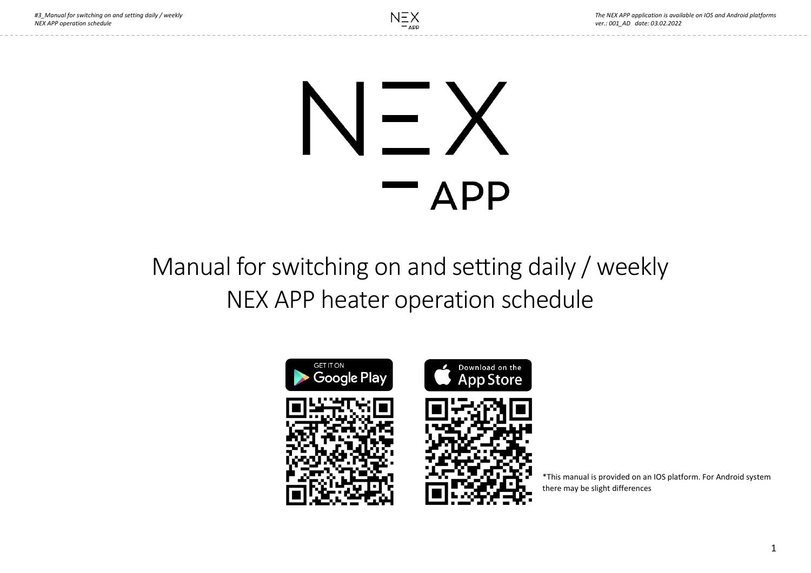# المنابع **APP**

Manual for switching on and setting daily / weekly NEX APP heater operation schedule



\*This manual is provided on an IOS platform. For Android system there may be slight differences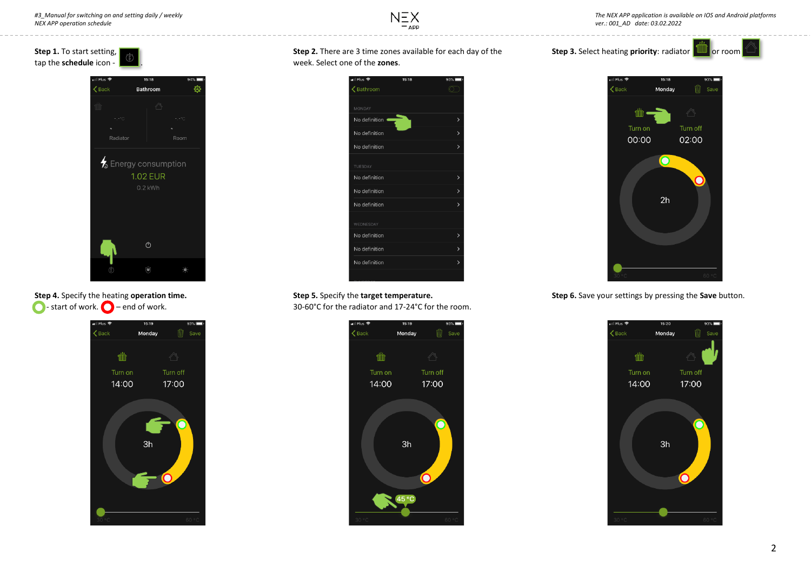



## **Step 4.** Specify the heating **operation time.**   $\bigcirc$  - start of work.  $\bigcirc$  – end of work.



### **Step 2.** There are 3 time zones available for each day of the week. Select one of the **zones**.



# **Step 5.** Specify the **target temperature.**

30-60°C for the radiator and 17-24°С for the room.









**Step 6.** Save your settings by pressing the **Save** button.